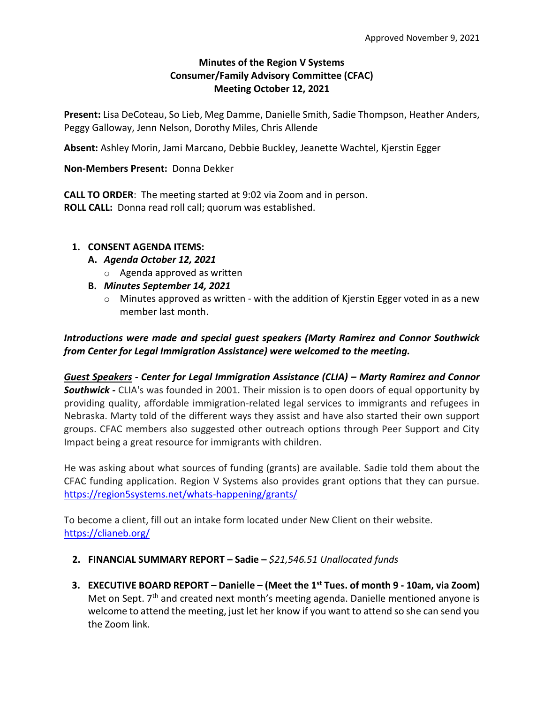## **Minutes of the Region V Systems Consumer/Family Advisory Committee (CFAC) Meeting October 12, 2021**

**Present:** Lisa DeCoteau, So Lieb, Meg Damme, Danielle Smith, Sadie Thompson, Heather Anders, Peggy Galloway, Jenn Nelson, Dorothy Miles, Chris Allende

**Absent:** Ashley Morin, Jami Marcano, Debbie Buckley, Jeanette Wachtel, Kjerstin Egger

### **Non-Members Present:** Donna Dekker

**CALL TO ORDER**: The meeting started at 9:02 via Zoom and in person. **ROLL CALL:** Donna read roll call; quorum was established.

### **1. CONSENT AGENDA ITEMS:**

- **A.** *Agenda October 12, 2021*
	- o Agenda approved as written
- **B.** *Minutes September 14, 2021*
	- $\circ$  Minutes approved as written with the addition of Kierstin Egger voted in as a new member last month.

# *Introductions were made and special guest speakers (Marty Ramirez and Connor Southwick from Center for Legal Immigration Assistance) were welcomed to the meeting.*

*Guest Speakers - Center for Legal Immigration Assistance (CLIA) – Marty Ramirez and Connor*  **Southwick** - CLIA's was founded in 2001. Their mission is to open doors of equal opportunity by providing quality, affordable immigration-related legal services to immigrants and refugees in Nebraska. Marty told of the different ways they assist and have also started their own support groups. CFAC members also suggested other outreach options through Peer Support and City Impact being a great resource for immigrants with children.

He was asking about what sources of funding (grants) are available. Sadie told them about the CFAC funding application. Region V Systems also provides grant options that they can pursue. <https://region5systems.net/whats-happening/grants/>

To become a client, fill out an intake form located under New Client on their website. <https://clianeb.org/>

### **2. FINANCIAL SUMMARY REPORT – Sadie –** *\$21,546.51 Unallocated funds*

**3. EXECUTIVE BOARD REPORT – Danielle – (Meet the 1st Tues. of month 9 - 10am, via Zoom)**  Met on Sept. 7<sup>th</sup> and created next month's meeting agenda. Danielle mentioned anyone is welcome to attend the meeting, just let her know if you want to attend so she can send you the Zoom link.